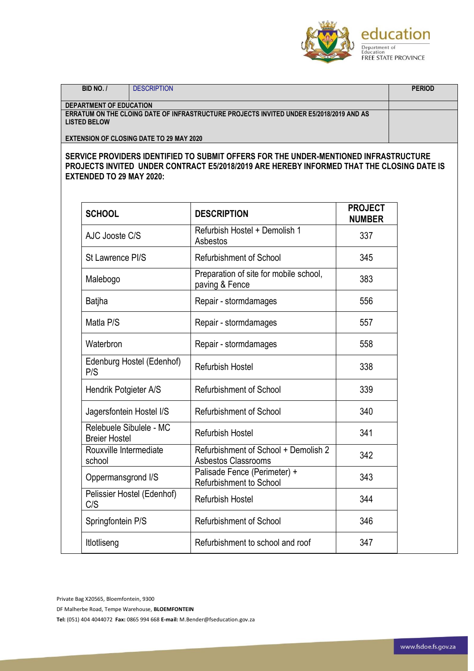

**BID NO. /** DESCRIPTION **PERIOD DEPARTMENT OF EDUCATION ERRATUM ON THE CLOING DATE OF INFRASTRUCTURE PROJECTS INVITED UNDER E5/2018/2019 AND AS LISTED BELOW EXTENSION OF CLOSING DATE TO 29 MAY 2020**

**SERVICE PROVIDERS IDENTIFIED TO SUBMIT OFFERS FOR THE UNDER-MENTIONED INFRASTRUCTURE PROJECTS INVITED UNDER CONTRACT E5/2018/2019 ARE HEREBY INFORMED THAT THE CLOSING DATE IS EXTENDED TO 29 MAY 2020:**

| <b>SCHOOL</b>                                   | <b>DESCRIPTION</b>                                             | <b>PROJECT</b><br><b>NUMBER</b> |
|-------------------------------------------------|----------------------------------------------------------------|---------------------------------|
| AJC Jooste C/S                                  | Refurbish Hostel + Demolish 1<br>Asbestos                      | 337                             |
| St Lawrence PI/S                                | <b>Refurbishment of School</b>                                 | 345                             |
| Malebogo                                        | Preparation of site for mobile school,<br>paving & Fence       | 383                             |
| <b>Batjha</b>                                   | Repair - stormdamages                                          | 556                             |
| Matla P/S                                       | Repair - stormdamages                                          | 557                             |
| Waterbron                                       | Repair - stormdamages                                          | 558                             |
| Edenburg Hostel (Edenhof)<br>P/S                | Refurbish Hostel                                               | 338                             |
| Hendrik Potgieter A/S                           | Refurbishment of School                                        | 339                             |
| Jagersfontein Hostel I/S                        | <b>Refurbishment of School</b>                                 | 340                             |
| Relebuele Sibulele - MC<br><b>Breier Hostel</b> | Refurbish Hostel                                               | 341                             |
| Rouxville Intermediate<br>school                | Refurbishment of School + Demolish 2<br>Asbestos Classrooms    | 342                             |
| Oppermansgrond I/S                              | Palisade Fence (Perimeter) +<br><b>Refurbishment to School</b> | 343                             |
| Pelissier Hostel (Edenhof)<br>C/S               | <b>Refurbish Hostel</b>                                        | 344                             |
| Springfontein P/S                               | <b>Refurbishment of School</b>                                 | 346                             |
| Itlotliseng                                     | Refurbishment to school and roof                               | 347                             |

Private Bag X20565, Bloemfontein, 9300

DF Malherbe Road, Tempe Warehouse, **BLOEMFONTEIN**

**Tel:** (051) 404 4044072 **Fax:** 0865 994 668 **E-mail:** M.Bender@fseducation.gov.za